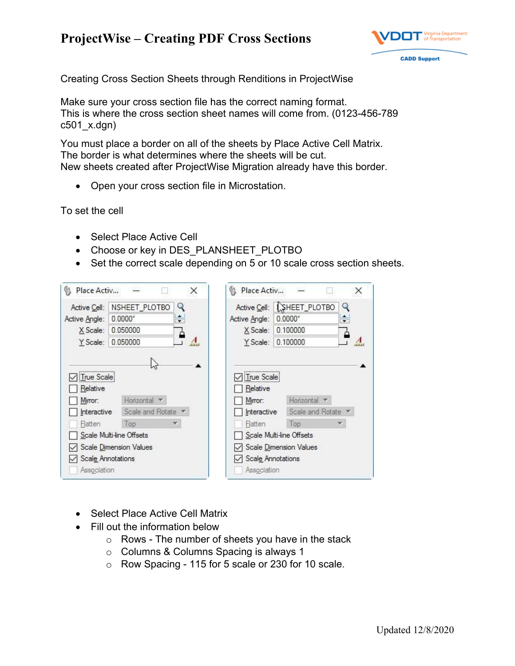## **ProjectWise – Creating PDF Cross Sections**



Creating Cross Section Sheets through Renditions in ProjectWise

Make sure your cross section file has the correct naming format. This is where the cross section sheet names will come from. (0123-456-789 c501\_x.dgn)

You must place a border on all of the sheets by Place Active Cell Matrix. The border is what determines where the sheets will be cut. New sheets created after ProjectWise Migration already have this border.

• Open your cross section file in Microstation.

To set the cell

- Select Place Active Cell
- Choose or key in DES\_PLANSHEET\_PLOTBO
- Set the correct scale depending on 5 or 10 scale cross section sheets.



- Select Place Active Cell Matrix
- Fill out the information below
	- $\circ$  Rows The number of sheets you have in the stack
	- o Columns & Columns Spacing is always 1
	- o Row Spacing 115 for 5 scale or 230 for 10 scale.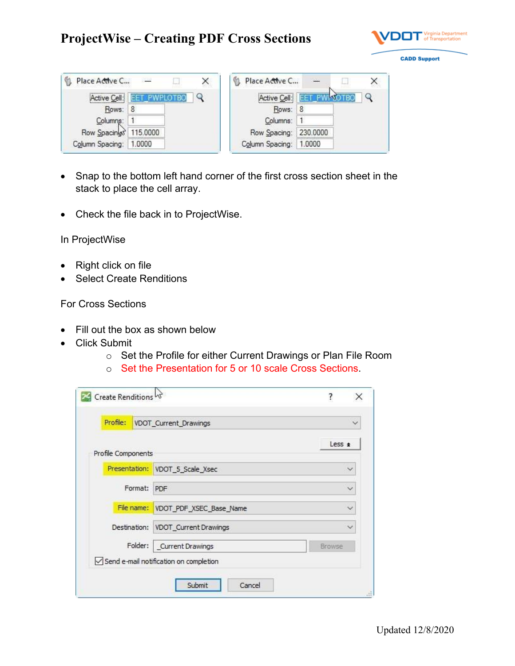## **ProjectWise – Creating PDF Cross Sections**



Place Active C...  $\Box$ × **County** Active Cell: EET\_PWPLOTBO  $\mathsf{Q}$ Rows: 8 Columns: 1 Row Spacings 115.0000 Column Spacing: 1.0000

| Place Active C         |  |
|------------------------|--|
| Active Cell: EF        |  |
| Rows: 8                |  |
| Columns: 1             |  |
| Row Spacing: 230.0000  |  |
| Column Spacing: 1.0000 |  |

- Snap to the bottom left hand corner of the first cross section sheet in the stack to place the cell array.
- Check the file back in to ProjectWise.

In ProjectWise

- Right click on file
- Select Create Renditions

For Cross Sections

- Fill out the box as shown below
- Click Submit
	- o Set the Profile for either Current Drawings or Plan File Room
	- o Set the Presentation for 5 or 10 scale Cross Sections.

| Profile:<br>VDOT_Current_Drawings |                                                    | $\checkmark$ |
|-----------------------------------|----------------------------------------------------|--------------|
| Profile Components                |                                                    | Less $\pm$   |
|                                   | Presentation: VDOT_5_Scale_Xsec                    | $\checkmark$ |
| Format:                           | PDF                                                |              |
|                                   | File name: VDOT_PDF_XSEC_Base_Name                 |              |
|                                   | Destination: VDOT_Current Drawings<br>$\checkmark$ |              |
| Folder:                           | Current Drawings<br>Browse                         |              |
|                                   | Send e-mail notification on completion             |              |